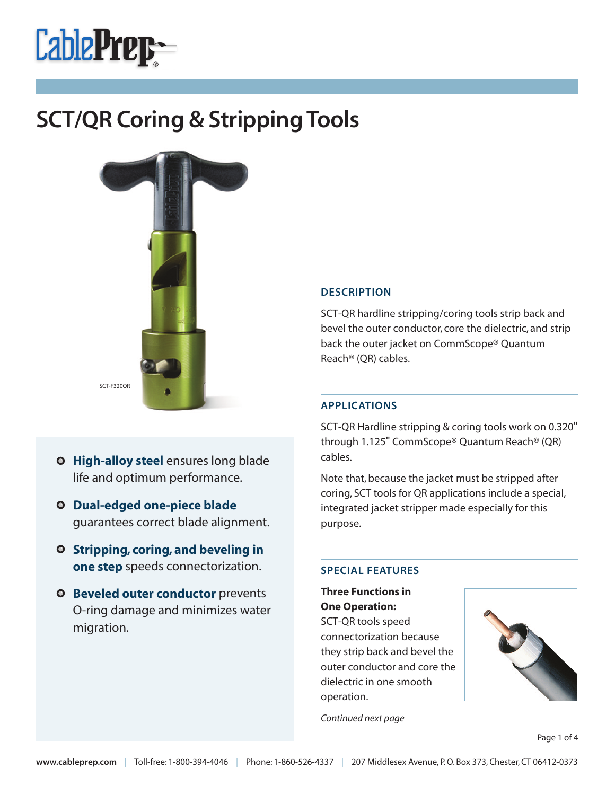



- 
- **High-alloy steel** ensures long blade life and optimum performance.
- **Dual-edged one-piece blade** guarantees correct blade alignment.
- **Stripping, coring, and beveling in one step** speeds connectorization.
- **Beveled outer conductor** prevents O-ring damage and minimizes water migration.

#### **DESCRIPTION**

SCT-QR hardline stripping/coring tools strip back and bevel the outer conductor, core the dielectric, and strip back the outer jacket on CommScope® Quantum Reach® (QR) cables.

#### **APPLICATIONS**

SCT-QR Hardline stripping & coring tools work on 0.320" through 1.125" CommScope® Quantum Reach® (QR) cables.

Note that, because the jacket must be stripped after coring, SCT tools for QR applications include a special, integrated jacket stripper made especially for this purpose.

#### **SPECIAL FEATURES**

**Three Functions in One Operation:** SCT-QR tools speed connectorization because they strip back and bevel the outer conductor and core the dielectric in one smooth operation.



*Continued next page*

Page 1 of 4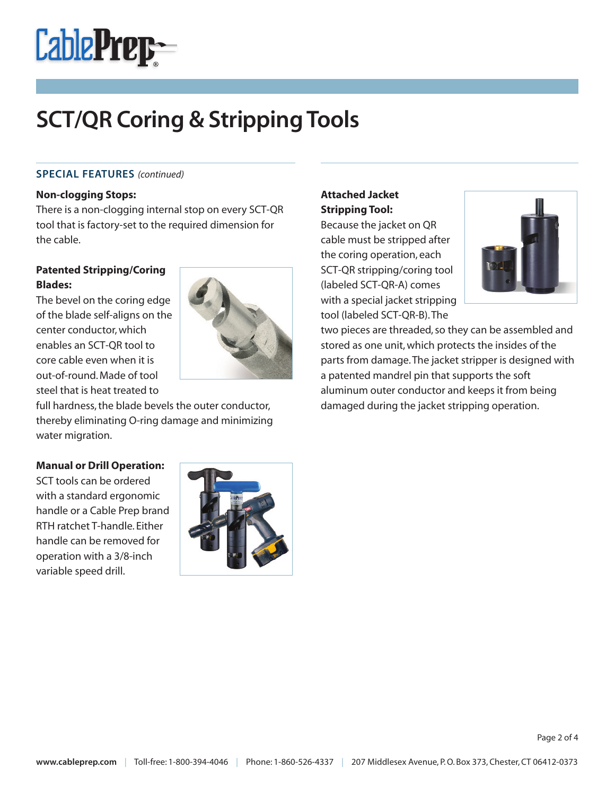

#### **SPECIAL FEATURES** *(continued)*

#### **Non-clogging Stops:**

There is a non-clogging internal stop on every SCT-QR tool that is factory-set to the required dimension for the cable.

### **Patented Stripping/Coring Blades:**

The bevel on the coring edge of the blade self-aligns on the center conductor,which enables an SCT-QR tool to core cable even when it is out-of-round. Made of tool steel that is heat treated to



full hardness, the blade bevels the outer conductor, thereby eliminating O-ring damage and minimizing water migration.

#### **Manual or Drill Operation:**

SCT tools can be ordered with a standard ergonomic handle or a Cable Prep brand RTH ratchet T-handle. Either handle can be removed for operation with a 3/8-inch variable speed drill.



## **Attached Jacket Stripping Tool:**

Because the jacket on QR cable must be stripped after the coring operation, each SCT-QR stripping/coring tool (labeled SCT-QR-A) comes with a special jacket stripping tool (labeled SCT-QR-B).The



two pieces are threaded, so they can be assembled and stored as one unit,which protects the insides of the parts from damage.The jacket stripper is designed with a patented mandrel pin that supports the soft aluminum outer conductor and keeps it from being damaged during the jacket stripping operation.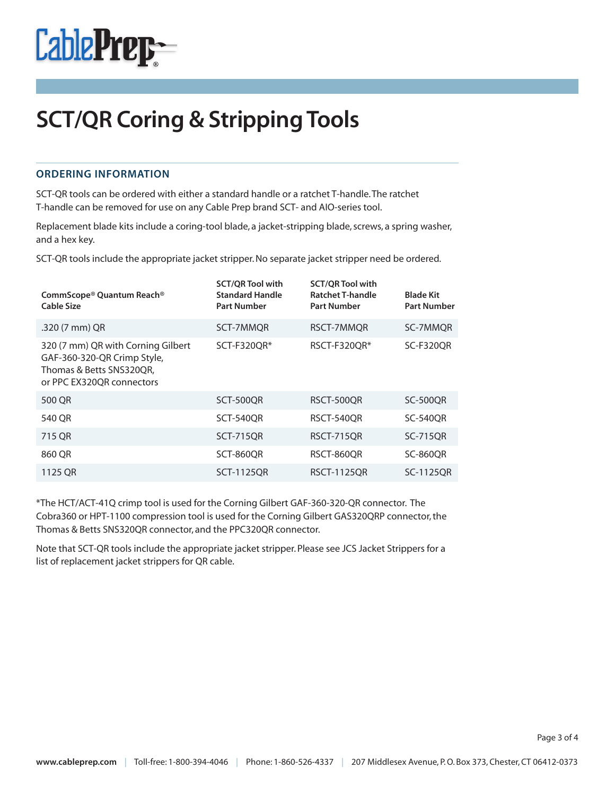

#### **ORDERING INFORMATION**

SCT-QR tools can be ordered with either a standard handle or a ratchet T-handle.The ratchet T-handle can be removed for use on any Cable Prep brand SCT- and AIO-series tool.

Replacement blade kits include a coring-tool blade, a jacket-stripping blade, screws, a spring washer, and a hex key.

SCT-QR tools include the appropriate jacket stripper.No separate jacket stripper need be ordered.

| CommScope® Quantum Reach®<br><b>Cable Size</b>                                                                             | <b>SCT/OR Tool with</b><br><b>Standard Handle</b><br><b>Part Number</b> | <b>SCT/OR Tool with</b><br><b>Ratchet T-handle</b><br><b>Part Number</b> | <b>Blade Kit</b><br><b>Part Number</b> |
|----------------------------------------------------------------------------------------------------------------------------|-------------------------------------------------------------------------|--------------------------------------------------------------------------|----------------------------------------|
| .320 (7 mm) QR                                                                                                             | SCT-7MMOR                                                               | RSCT-7MMOR                                                               | SC-7MMOR                               |
| 320 (7 mm) QR with Corning Gilbert<br>GAF-360-320-QR Crimp Style,<br>Thomas & Betts SNS320QR,<br>or PPC EX320QR connectors | SCT-F320OR*                                                             | RSCT-F320QR*                                                             | <b>SC-F320OR</b>                       |
| 500 QR                                                                                                                     | <b>SCT-500OR</b>                                                        | RSCT-500OR                                                               | <b>SC-500OR</b>                        |
| 540 QR                                                                                                                     | <b>SCT-540OR</b>                                                        | RSCT-540OR                                                               | <b>SC-540OR</b>                        |
| 715 QR                                                                                                                     | <b>SCT-715QR</b>                                                        | <b>RSCT-715OR</b>                                                        | <b>SC-715QR</b>                        |
| 860 QR                                                                                                                     | <b>SCT-860OR</b>                                                        | RSCT-860OR                                                               | <b>SC-860OR</b>                        |
| 1125 QR                                                                                                                    | <b>SCT-1125OR</b>                                                       | <b>RSCT-1125OR</b>                                                       | SC-1125OR                              |

\*The HCT/ACT-41Q crimp tool is used for the Corning Gilbert GAF-360-320-QR connector. The Cobra360 or HPT-1100 compression tool is used for the Corning Gilbert GAS320QRP connector,the Thomas & Betts SNS320QR connector, and the PPC320QR connector.

Note that SCT-QR tools include the appropriate jacket stripper. Please see JCS Jacket Strippers for a list of replacement jacket strippers for QR cable.